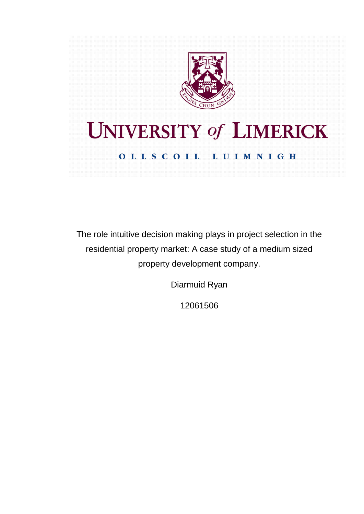

# **UNIVERSITY of LIMERICK** OLLSCOIL LUIMNIGH

The role intuitive decision making plays in project selection in the residential property market: A case study of a medium sized property development company.

Diarmuid Ryan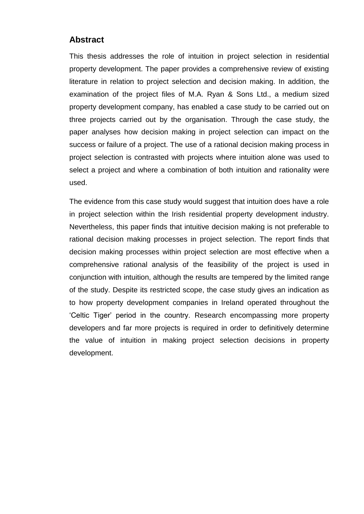# **Abstract**

This thesis addresses the role of intuition in project selection in residential property development. The paper provides a comprehensive review of existing literature in relation to project selection and decision making. In addition, the examination of the project files of M.A. Ryan & Sons Ltd., a medium sized property development company, has enabled a case study to be carried out on three projects carried out by the organisation. Through the case study, the paper analyses how decision making in project selection can impact on the success or failure of a project. The use of a rational decision making process in project selection is contrasted with projects where intuition alone was used to select a project and where a combination of both intuition and rationality were used.

The evidence from this case study would suggest that intuition does have a role in project selection within the Irish residential property development industry. Nevertheless, this paper finds that intuitive decision making is not preferable to rational decision making processes in project selection. The report finds that decision making processes within project selection are most effective when a comprehensive rational analysis of the feasibility of the project is used in conjunction with intuition, although the results are tempered by the limited range of the study. Despite its restricted scope, the case study gives an indication as to how property development companies in Ireland operated throughout the 'Celtic Tiger' period in the country. Research encompassing more property developers and far more projects is required in order to definitively determine the value of intuition in making project selection decisions in property development.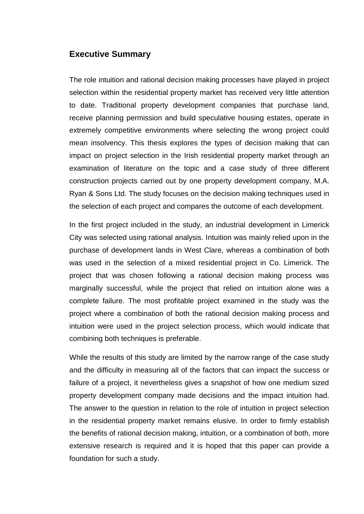# **Executive Summary**

The role intuition and rational decision making processes have played in project selection within the residential property market has received very little attention to date. Traditional property development companies that purchase land, receive planning permission and build speculative housing estates, operate in extremely competitive environments where selecting the wrong project could mean insolvency. This thesis explores the types of decision making that can impact on project selection in the Irish residential property market through an examination of literature on the topic and a case study of three different construction projects carried out by one property development company, M.A. Ryan & Sons Ltd. The study focuses on the decision making techniques used in the selection of each project and compares the outcome of each development.

In the first project included in the study, an industrial development in Limerick City was selected using rational analysis. Intuition was mainly relied upon in the purchase of development lands in West Clare, whereas a combination of both was used in the selection of a mixed residential project in Co. Limerick. The project that was chosen following a rational decision making process was marginally successful, while the project that relied on intuition alone was a complete failure. The most profitable project examined in the study was the project where a combination of both the rational decision making process and intuition were used in the project selection process, which would indicate that combining both techniques is preferable.

While the results of this study are limited by the narrow range of the case study and the difficulty in measuring all of the factors that can impact the success or failure of a project, it nevertheless gives a snapshot of how one medium sized property development company made decisions and the impact intuition had. The answer to the question in relation to the role of intuition in project selection in the residential property market remains elusive. In order to firmly establish the benefits of rational decision making, intuition, or a combination of both, more extensive research is required and it is hoped that this paper can provide a foundation for such a study.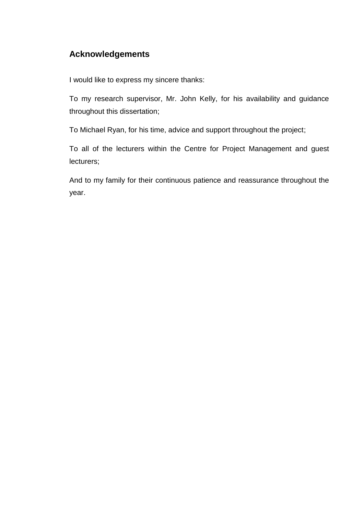# **Acknowledgements**

I would like to express my sincere thanks:

To my research supervisor, Mr. John Kelly, for his availability and guidance throughout this dissertation;

To Michael Ryan, for his time, advice and support throughout the project;

To all of the lecturers within the Centre for Project Management and guest lecturers;

And to my family for their continuous patience and reassurance throughout the year.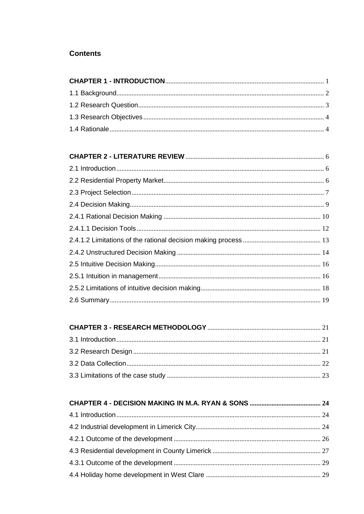# **Contents**

# 

# 

#### 1.1 Introduction  $24$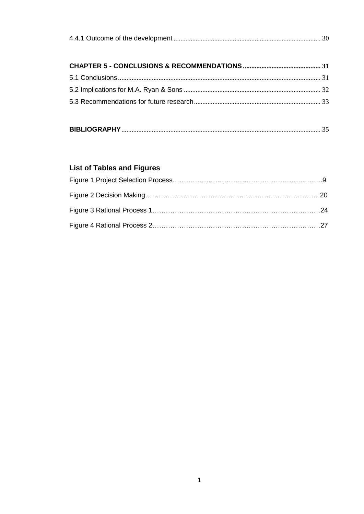|--|

# <span id="page-5-0"></span>**List of Tables and Figures**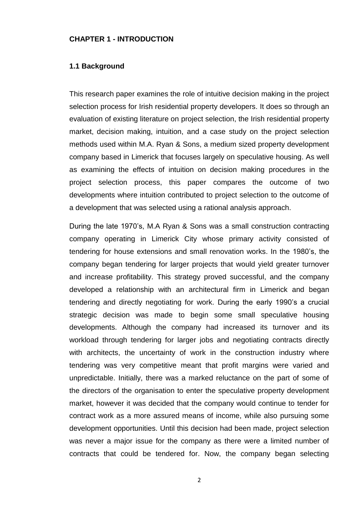#### <span id="page-6-0"></span>**CHAPTER 1 - INTRODUCTION**

### **1.1 Background**

This research paper examines the role of intuitive decision making in the project selection process for Irish residential property developers. It does so through an evaluation of existing literature on project selection, the Irish residential property market, decision making, intuition, and a case study on the project selection methods used within M.A. Ryan & Sons, a medium sized property development company based in Limerick that focuses largely on speculative housing. As well as examining the effects of intuition on decision making procedures in the project selection process, this paper compares the outcome of two developments where intuition contributed to project selection to the outcome of a development that was selected using a rational analysis approach.

During the late 1970's, M.A Ryan & Sons was a small construction contracting company operating in Limerick City whose primary activity consisted of tendering for house extensions and small renovation works. In the 1980's, the company began tendering for larger projects that would yield greater turnover and increase profitability. This strategy proved successful, and the company developed a relationship with an architectural firm in Limerick and began tendering and directly negotiating for work. During the early 1990's a crucial strategic decision was made to begin some small speculative housing developments. Although the company had increased its turnover and its workload through tendering for larger jobs and negotiating contracts directly with architects, the uncertainty of work in the construction industry where tendering was very competitive meant that profit margins were varied and unpredictable. Initially, there was a marked reluctance on the part of some of the directors of the organisation to enter the speculative property development market, however it was decided that the company would continue to tender for contract work as a more assured means of income, while also pursuing some development opportunities. Until this decision had been made, project selection was never a major issue for the company as there were a limited number of contracts that could be tendered for. Now, the company began selecting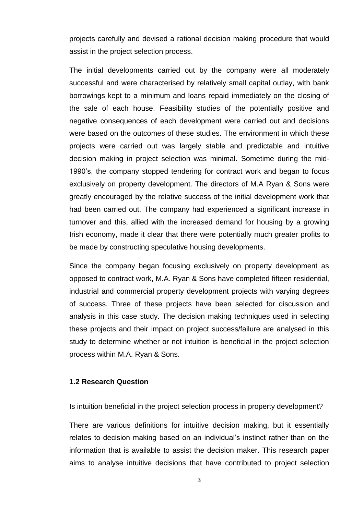projects carefully and devised a rational decision making procedure that would assist in the project selection process.

The initial developments carried out by the company were all moderately successful and were characterised by relatively small capital outlay, with bank borrowings kept to a minimum and loans repaid immediately on the closing of the sale of each house. Feasibility studies of the potentially positive and negative consequences of each development were carried out and decisions were based on the outcomes of these studies. The environment in which these projects were carried out was largely stable and predictable and intuitive decision making in project selection was minimal. Sometime during the mid-1990's, the company stopped tendering for contract work and began to focus exclusively on property development. The directors of M.A Ryan & Sons were greatly encouraged by the relative success of the initial development work that had been carried out. The company had experienced a significant increase in turnover and this, allied with the increased demand for housing by a growing Irish economy, made it clear that there were potentially much greater profits to be made by constructing speculative housing developments.

Since the company began focusing exclusively on property development as opposed to contract work, M.A. Ryan & Sons have completed fifteen residential, industrial and commercial property development projects with varying degrees of success. Three of these projects have been selected for discussion and analysis in this case study. The decision making techniques used in selecting these projects and their impact on project success/failure are analysed in this study to determine whether or not intuition is beneficial in the project selection process within M.A. Ryan & Sons.

# <span id="page-7-0"></span>**1.2 Research Question**

Is intuition beneficial in the project selection process in property development?

There are various definitions for intuitive decision making, but it essentially relates to decision making based on an individual's instinct rather than on the information that is available to assist the decision maker. This research paper aims to analyse intuitive decisions that have contributed to project selection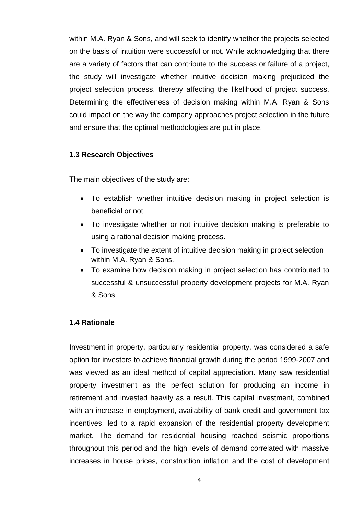within M.A. Ryan & Sons, and will seek to identify whether the projects selected on the basis of intuition were successful or not. While acknowledging that there are a variety of factors that can contribute to the success or failure of a project, the study will investigate whether intuitive decision making prejudiced the project selection process, thereby affecting the likelihood of project success. Determining the effectiveness of decision making within M.A. Ryan & Sons could impact on the way the company approaches project selection in the future and ensure that the optimal methodologies are put in place.

# <span id="page-8-0"></span>**1.3 Research Objectives**

The main objectives of the study are:

- To establish whether intuitive decision making in project selection is beneficial or not.
- To investigate whether or not intuitive decision making is preferable to using a rational decision making process.
- To investigate the extent of intuitive decision making in project selection within M.A. Ryan & Sons.
- To examine how decision making in project selection has contributed to successful & unsuccessful property development projects for M.A. Ryan & Sons

# <span id="page-8-1"></span>**1.4 Rationale**

Investment in property, particularly residential property, was considered a safe option for investors to achieve financial growth during the period 1999-2007 and was viewed as an ideal method of capital appreciation. Many saw residential property investment as the perfect solution for producing an income in retirement and invested heavily as a result. This capital investment, combined with an increase in employment, availability of bank credit and government tax incentives, led to a rapid expansion of the residential property development market. The demand for residential housing reached seismic proportions throughout this period and the high levels of demand correlated with massive increases in house prices, construction inflation and the cost of development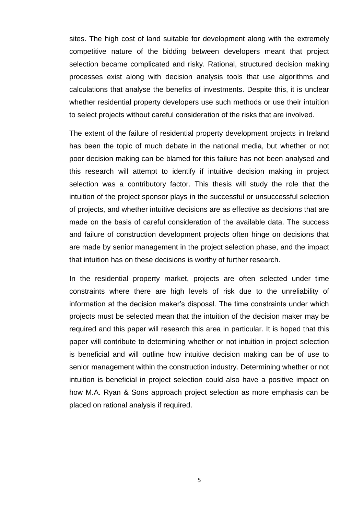sites. The high cost of land suitable for development along with the extremely competitive nature of the bidding between developers meant that project selection became complicated and risky. Rational, structured decision making processes exist along with decision analysis tools that use algorithms and calculations that analyse the benefits of investments. Despite this, it is unclear whether residential property developers use such methods or use their intuition to select projects without careful consideration of the risks that are involved.

The extent of the failure of residential property development projects in Ireland has been the topic of much debate in the national media, but whether or not poor decision making can be blamed for this failure has not been analysed and this research will attempt to identify if intuitive decision making in project selection was a contributory factor. This thesis will study the role that the intuition of the project sponsor plays in the successful or unsuccessful selection of projects, and whether intuitive decisions are as effective as decisions that are made on the basis of careful consideration of the available data. The success and failure of construction development projects often hinge on decisions that are made by senior management in the project selection phase, and the impact that intuition has on these decisions is worthy of further research.

In the residential property market, projects are often selected under time constraints where there are high levels of risk due to the unreliability of information at the decision maker's disposal. The time constraints under which projects must be selected mean that the intuition of the decision maker may be required and this paper will research this area in particular. It is hoped that this paper will contribute to determining whether or not intuition in project selection is beneficial and will outline how intuitive decision making can be of use to senior management within the construction industry. Determining whether or not intuition is beneficial in project selection could also have a positive impact on how M.A. Ryan & Sons approach project selection as more emphasis can be placed on rational analysis if required.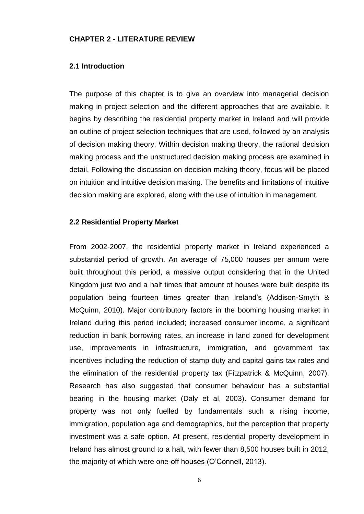### <span id="page-10-1"></span><span id="page-10-0"></span>**CHAPTER 2 - LITERATURE REVIEW**

#### **2.1 Introduction**

The purpose of this chapter is to give an overview into managerial decision making in project selection and the different approaches that are available. It begins by describing the residential property market in Ireland and will provide an outline of project selection techniques that are used, followed by an analysis of decision making theory. Within decision making theory, the rational decision making process and the unstructured decision making process are examined in detail. Following the discussion on decision making theory, focus will be placed on intuition and intuitive decision making. The benefits and limitations of intuitive decision making are explored, along with the use of intuition in management.

#### <span id="page-10-2"></span>**2.2 Residential Property Market**

From 2002-2007, the residential property market in Ireland experienced a substantial period of growth. An average of 75,000 houses per annum were built throughout this period, a massive output considering that in the United Kingdom just two and a half times that amount of houses were built despite its population being fourteen times greater than Ireland's (Addison-Smyth & McQuinn, 2010). Major contributory factors in the booming housing market in Ireland during this period included; increased consumer income, a significant reduction in bank borrowing rates, an increase in land zoned for development use, improvements in infrastructure, immigration, and government tax incentives including the reduction of stamp duty and capital gains tax rates and the elimination of the residential property tax (Fitzpatrick & McQuinn, 2007). Research has also suggested that consumer behaviour has a substantial bearing in the housing market (Daly et al, 2003). Consumer demand for property was not only fuelled by fundamentals such a rising income, immigration, population age and demographics, but the perception that property investment was a safe option. At present, residential property development in Ireland has almost ground to a halt, with fewer than 8,500 houses built in 2012, the majority of which were one-off houses (O'Connell, 2013).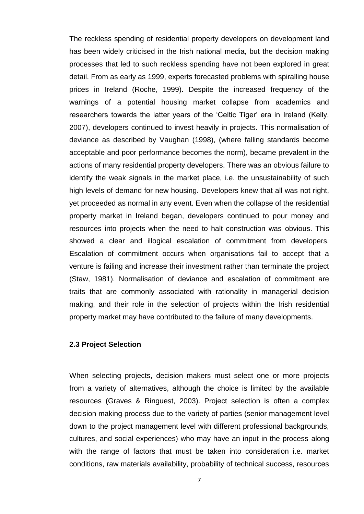The reckless spending of residential property developers on development land has been widely criticised in the Irish national media, but the decision making processes that led to such reckless spending have not been explored in great detail. From as early as 1999, experts forecasted problems with spiralling house prices in Ireland (Roche, 1999). Despite the increased frequency of the warnings of a potential housing market collapse from academics and researchers towards the latter years of the 'Celtic Tiger' era in Ireland (Kelly, 2007), developers continued to invest heavily in projects. This normalisation of deviance as described by Vaughan (1998), (where falling standards become acceptable and poor performance becomes the norm), became prevalent in the actions of many residential property developers. There was an obvious failure to identify the weak signals in the market place, i.e. the unsustainability of such high levels of demand for new housing. Developers knew that all was not right, yet proceeded as normal in any event. Even when the collapse of the residential property market in Ireland began, developers continued to pour money and resources into projects when the need to halt construction was obvious. This showed a clear and illogical escalation of commitment from developers. Escalation of commitment occurs when organisations fail to accept that a venture is failing and increase their investment rather than terminate the project (Staw, 1981). Normalisation of deviance and escalation of commitment are traits that are commonly associated with rationality in managerial decision making, and their role in the selection of projects within the Irish residential property market may have contributed to the failure of many developments.

# <span id="page-11-0"></span>**2.3 Project Selection**

When selecting projects, decision makers must select one or more projects from a variety of alternatives, although the choice is limited by the available resources (Graves & Ringuest, 2003). Project selection is often a complex decision making process due to the variety of parties (senior management level down to the project management level with different professional backgrounds, cultures, and social experiences) who may have an input in the process along with the range of factors that must be taken into consideration i.e. market conditions, raw materials availability, probability of technical success, resources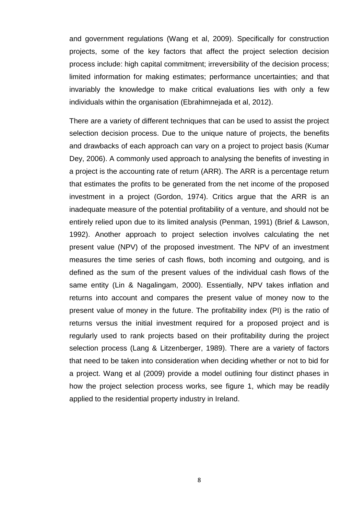and government regulations (Wang et al, 2009). Specifically for construction projects, some of the key factors that affect the project selection decision process include: high capital commitment; irreversibility of the decision process; limited information for making estimates; performance uncertainties; and that invariably the knowledge to make critical evaluations lies with only a few individuals within the organisation (Ebrahimnejada et al, 2012).

There are a variety of different techniques that can be used to assist the project selection decision process. Due to the unique nature of projects, the benefits and drawbacks of each approach can vary on a project to project basis (Kumar Dey, 2006). A commonly used approach to analysing the benefits of investing in a project is the accounting rate of return (ARR). The ARR is a percentage return that estimates the profits to be generated from the net income of the proposed investment in a project (Gordon, 1974). Critics argue that the ARR is an inadequate measure of the potential profitability of a venture, and should not be entirely relied upon due to its limited analysis (Penman, 1991) (Brief & Lawson, 1992). Another approach to project selection involves calculating the net present value (NPV) of the proposed investment. The NPV of an investment measures the time series of cash flows, both incoming and outgoing, and is defined as the sum of the present values of the individual cash flows of the same entity (Lin & Nagalingam, 2000). Essentially, NPV takes inflation and returns into account and compares the present value of money now to the present value of money in the future. The profitability index (PI) is the ratio of returns versus the initial investment required for a proposed project and is regularly used to rank projects based on their profitability during the project selection process (Lang & Litzenberger, 1989). There are a variety of factors that need to be taken into consideration when deciding whether or not to bid for a project. Wang et al (2009) provide a model outlining four distinct phases in how the project selection process works, see figure 1, which may be readily applied to the residential property industry in Ireland.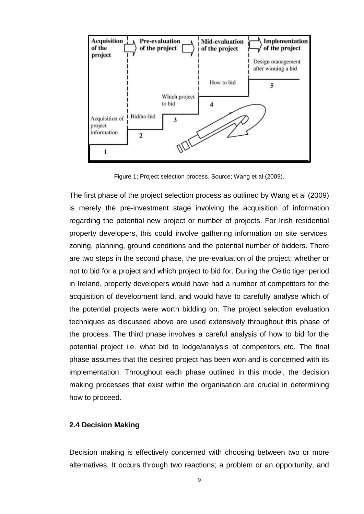

Figure 1; Project selection process. Source; Wang et al (2009).

The first phase of the project selection process as outlined by Wang et al (2009) is merely the pre-investment stage involving the acquisition of information regarding the potential new project or number of projects. For Irish residential property developers, this could involve gathering information on site services, zoning, planning, ground conditions and the potential number of bidders. There are two steps in the second phase, the pre-evaluation of the project; whether or not to bid for a project and which project to bid for. During the Celtic tiger period in Ireland, property developers would have had a number of competitors for the acquisition of development land, and would have to carefully analyse which of the potential projects were worth bidding on. The project selection evaluation techniques as discussed above are used extensively throughout this phase of the process. The third phase involves a careful analysis of how to bid for the potential project i.e. what bid to lodge/analysis of competitors etc. The final phase assumes that the desired project has been won and is concerned with its implementation. Throughout each phase outlined in this model, the decision making processes that exist within the organisation are crucial in determining how to proceed.

# <span id="page-13-0"></span>**2.4 Decision Making**

Decision making is effectively concerned with choosing between two or more alternatives. It occurs through two reactions; a problem or an opportunity, and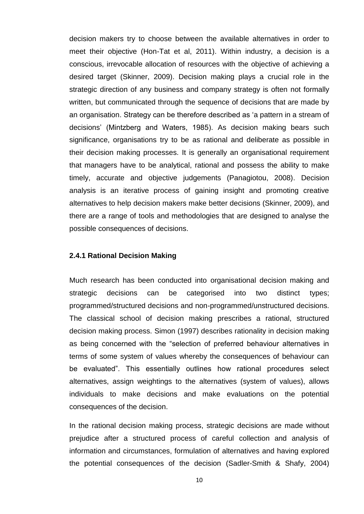decision makers try to choose between the available alternatives in order to meet their objective (Hon-Tat et al, 2011). Within industry, a decision is a conscious, irrevocable allocation of resources with the objective of achieving a desired target (Skinner, 2009). Decision making plays a crucial role in the strategic direction of any business and company strategy is often not formally written, but communicated through the sequence of decisions that are made by an organisation. Strategy can be therefore described as 'a pattern in a stream of decisions' (Mintzberg and Waters, 1985). As decision making bears such significance, organisations try to be as rational and deliberate as possible in their decision making processes. It is generally an organisational requirement that managers have to be analytical, rational and possess the ability to make timely, accurate and objective judgements (Panagiotou, 2008). Decision analysis is an iterative process of gaining insight and promoting creative alternatives to help decision makers make better decisions (Skinner, 2009), and there are a range of tools and methodologies that are designed to analyse the possible consequences of decisions.

# <span id="page-14-0"></span>**2.4.1 Rational Decision Making**

Much research has been conducted into organisational decision making and strategic decisions can be categorised into two distinct types; programmed/structured decisions and non-programmed/unstructured decisions. The classical school of decision making prescribes a rational, structured decision making process. Simon (1997) describes rationality in decision making as being concerned with the "selection of preferred behaviour alternatives in terms of some system of values whereby the consequences of behaviour can be evaluated". This essentially outlines how rational procedures select alternatives, assign weightings to the alternatives (system of values), allows individuals to make decisions and make evaluations on the potential consequences of the decision.

In the rational decision making process, strategic decisions are made without prejudice after a structured process of careful collection and analysis of information and circumstances, formulation of alternatives and having explored the potential consequences of the decision (Sadler-Smith & Shafy, 2004)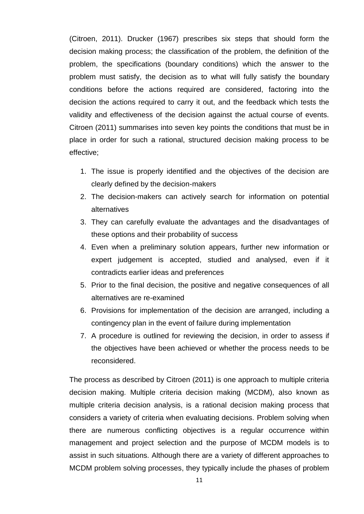(Citroen, 2011). Drucker (1967) prescribes six steps that should form the decision making process; the classification of the problem, the definition of the problem, the specifications (boundary conditions) which the answer to the problem must satisfy, the decision as to what will fully satisfy the boundary conditions before the actions required are considered, factoring into the decision the actions required to carry it out, and the feedback which tests the validity and effectiveness of the decision against the actual course of events. Citroen (2011) summarises into seven key points the conditions that must be in place in order for such a rational, structured decision making process to be effective;

- 1. The issue is properly identified and the objectives of the decision are clearly defined by the decision-makers
- 2. The decision-makers can actively search for information on potential alternatives
- 3. They can carefully evaluate the advantages and the disadvantages of these options and their probability of success
- 4. Even when a preliminary solution appears, further new information or expert judgement is accepted, studied and analysed, even if it contradicts earlier ideas and preferences
- 5. Prior to the final decision, the positive and negative consequences of all alternatives are re-examined
- 6. Provisions for implementation of the decision are arranged, including a contingency plan in the event of failure during implementation
- 7. A procedure is outlined for reviewing the decision, in order to assess if the objectives have been achieved or whether the process needs to be reconsidered.

The process as described by Citroen (2011) is one approach to multiple criteria decision making. Multiple criteria decision making (MCDM), also known as multiple criteria decision analysis, is a rational decision making process that considers a variety of criteria when evaluating decisions. Problem solving when there are numerous conflicting objectives is a regular occurrence within management and project selection and the purpose of MCDM models is to assist in such situations. Although there are a variety of different approaches to MCDM problem solving processes, they typically include the phases of problem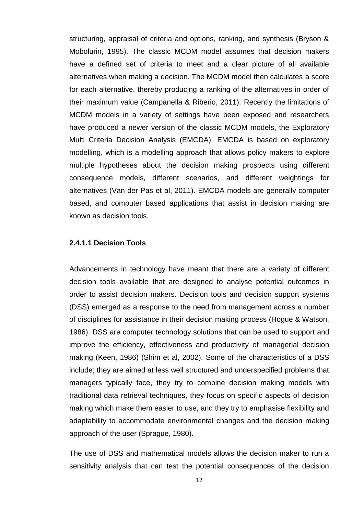structuring, appraisal of criteria and options, ranking, and synthesis (Bryson & Mobolurin, 1995). The classic MCDM model assumes that decision makers have a defined set of criteria to meet and a clear picture of all available alternatives when making a decision. The MCDM model then calculates a score for each alternative, thereby producing a ranking of the alternatives in order of their maximum value (Campanella & Riberio, 2011). Recently the limitations of MCDM models in a variety of settings have been exposed and researchers have produced a newer version of the classic MCDM models, the Exploratory Multi Criteria Decision Analysis (EMCDA). EMCDA is based on exploratory modelling, which is a modelling approach that allows policy makers to explore multiple hypotheses about the decision making prospects using different consequence models, different scenarios, and different weightings for alternatives (Van der Pas et al, 2011). EMCDA models are generally computer based, and computer based applications that assist in decision making are known as decision tools.

#### <span id="page-16-0"></span>**2.4.1.1 Decision Tools**

Advancements in technology have meant that there are a variety of different decision tools available that are designed to analyse potential outcomes in order to assist decision makers. Decision tools and decision support systems (DSS) emerged as a response to the need from management across a number of disciplines for assistance in their decision making process (Hogue & Watson, 1986). DSS are computer technology solutions that can be used to support and improve the efficiency, effectiveness and productivity of managerial decision making (Keen, 1986) (Shim et al, 2002). Some of the characteristics of a DSS include; they are aimed at less well structured and underspecified problems that managers typically face, they try to combine decision making models with traditional data retrieval techniques, they focus on specific aspects of decision making which make them easier to use, and they try to emphasise flexibility and adaptability to accommodate environmental changes and the decision making approach of the user (Sprague, 1980).

The use of DSS and mathematical models allows the decision maker to run a sensitivity analysis that can test the potential consequences of the decision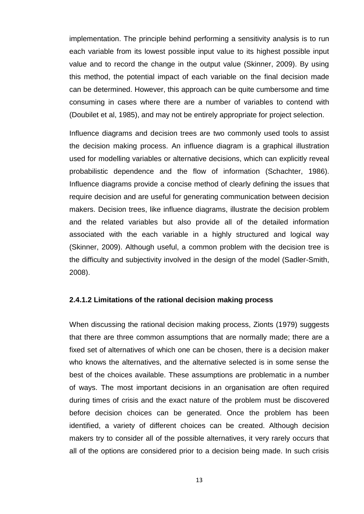implementation. The principle behind performing a sensitivity analysis is to run each variable from its lowest possible input value to its highest possible input value and to record the change in the output value (Skinner, 2009). By using this method, the potential impact of each variable on the final decision made can be determined. However, this approach can be quite cumbersome and time consuming in cases where there are a number of variables to contend with (Doubilet et al, 1985), and may not be entirely appropriate for project selection.

Influence diagrams and decision trees are two commonly used tools to assist the decision making process. An influence diagram is a graphical illustration used for modelling variables or alternative decisions, which can explicitly reveal probabilistic dependence and the flow of information (Schachter, 1986). Influence diagrams provide a concise method of clearly defining the issues that require decision and are useful for generating communication between decision makers. Decision trees, like influence diagrams, illustrate the decision problem and the related variables but also provide all of the detailed information associated with the each variable in a highly structured and logical way (Skinner, 2009). Although useful, a common problem with the decision tree is the difficulty and subjectivity involved in the design of the model (Sadler-Smith, 2008).

# <span id="page-17-0"></span>**2.4.1.2 Limitations of the rational decision making process**

When discussing the rational decision making process, Zionts (1979) suggests that there are three common assumptions that are normally made; there are a fixed set of alternatives of which one can be chosen, there is a decision maker who knows the alternatives, and the alternative selected is in some sense the best of the choices available. These assumptions are problematic in a number of ways. The most important decisions in an organisation are often required during times of crisis and the exact nature of the problem must be discovered before decision choices can be generated. Once the problem has been identified, a variety of different choices can be created. Although decision makers try to consider all of the possible alternatives, it very rarely occurs that all of the options are considered prior to a decision being made. In such crisis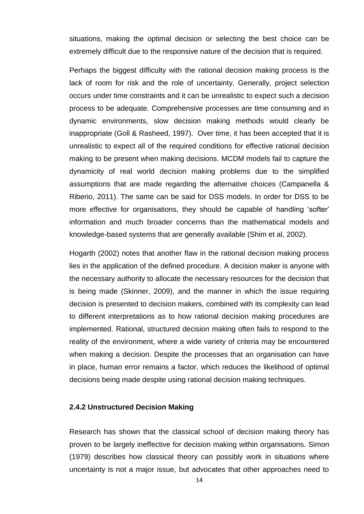situations, making the optimal decision or selecting the best choice can be extremely difficult due to the responsive nature of the decision that is required.

Perhaps the biggest difficulty with the rational decision making process is the lack of room for risk and the role of uncertainty. Generally, project selection occurs under time constraints and it can be unrealistic to expect such a decision process to be adequate. Comprehensive processes are time consuming and in dynamic environments, slow decision making methods would clearly be inappropriate (Goll & Rasheed, 1997). Over time, it has been accepted that it is unrealistic to expect all of the required conditions for effective rational decision making to be present when making decisions. MCDM models fail to capture the dynamicity of real world decision making problems due to the simplified assumptions that are made regarding the alternative choices (Campanella & Riberio, 2011). The same can be said for DSS models. In order for DSS to be more effective for organisations, they should be capable of handling 'softer' information and much broader concerns than the mathematical models and knowledge-based systems that are generally available (Shim et al, 2002).

Hogarth (2002) notes that another flaw in the rational decision making process lies in the application of the defined procedure. A decision maker is anyone with the necessary authority to allocate the necessary resources for the decision that is being made (Skinner, 2009), and the manner in which the issue requiring decision is presented to decision makers, combined with its complexity can lead to different interpretations as to how rational decision making procedures are implemented. Rational, structured decision making often fails to respond to the reality of the environment, where a wide variety of criteria may be encountered when making a decision. Despite the processes that an organisation can have in place, human error remains a factor, which reduces the likelihood of optimal decisions being made despite using rational decision making techniques.

# <span id="page-18-0"></span>**2.4.2 Unstructured Decision Making**

Research has shown that the classical school of decision making theory has proven to be largely ineffective for decision making within organisations. Simon (1979) describes how classical theory can possibly work in situations where uncertainty is not a major issue, but advocates that other approaches need to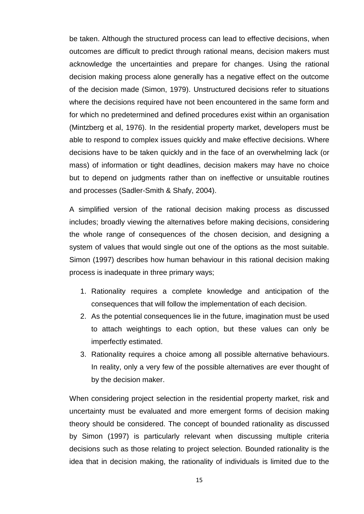be taken. Although the structured process can lead to effective decisions, when outcomes are difficult to predict through rational means, decision makers must acknowledge the uncertainties and prepare for changes. Using the rational decision making process alone generally has a negative effect on the outcome of the decision made (Simon, 1979). Unstructured decisions refer to situations where the decisions required have not been encountered in the same form and for which no predetermined and defined procedures exist within an organisation (Mintzberg et al, 1976). In the residential property market, developers must be able to respond to complex issues quickly and make effective decisions. Where decisions have to be taken quickly and in the face of an overwhelming lack (or mass) of information or tight deadlines, decision makers may have no choice but to depend on judgments rather than on ineffective or unsuitable routines and processes (Sadler-Smith & Shafy, 2004).

A simplified version of the rational decision making process as discussed includes; broadly viewing the alternatives before making decisions, considering the whole range of consequences of the chosen decision, and designing a system of values that would single out one of the options as the most suitable. Simon (1997) describes how human behaviour in this rational decision making process is inadequate in three primary ways;

- 1. Rationality requires a complete knowledge and anticipation of the consequences that will follow the implementation of each decision.
- 2. As the potential consequences lie in the future, imagination must be used to attach weightings to each option, but these values can only be imperfectly estimated.
- 3. Rationality requires a choice among all possible alternative behaviours. In reality, only a very few of the possible alternatives are ever thought of by the decision maker.

When considering project selection in the residential property market, risk and uncertainty must be evaluated and more emergent forms of decision making theory should be considered. The concept of bounded rationality as discussed by Simon (1997) is particularly relevant when discussing multiple criteria decisions such as those relating to project selection. Bounded rationality is the idea that in decision making, the rationality of individuals is limited due to the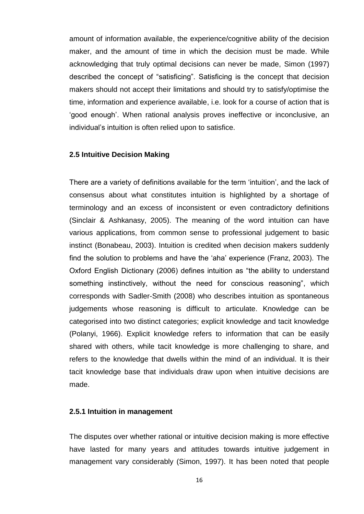amount of information available, the experience/cognitive ability of the decision maker, and the amount of time in which the decision must be made. While acknowledging that truly optimal decisions can never be made, Simon (1997) described the concept of "satisficing". Satisficing is the concept that decision makers should not accept their limitations and should try to satisfy/optimise the time, information and experience available, i.e. look for a course of action that is 'good enough'. When rational analysis proves ineffective or inconclusive, an individual's intuition is often relied upon to satisfice.

# <span id="page-20-0"></span>**2.5 Intuitive Decision Making**

There are a variety of definitions available for the term 'intuition', and the lack of consensus about what constitutes intuition is highlighted by a shortage of terminology and an excess of inconsistent or even contradictory definitions (Sinclair & Ashkanasy, 2005). The meaning of the word intuition can have various applications, from common sense to professional judgement to basic instinct (Bonabeau, 2003). Intuition is credited when decision makers suddenly find the solution to problems and have the 'aha' experience (Franz, 2003). The Oxford English Dictionary (2006) defines intuition as "the ability to understand something instinctively, without the need for conscious reasoning", which corresponds with Sadler-Smith (2008) who describes intuition as spontaneous judgements whose reasoning is difficult to articulate. Knowledge can be categorised into two distinct categories; explicit knowledge and tacit knowledge (Polanyi, 1966). Explicit knowledge refers to information that can be easily shared with others, while tacit knowledge is more challenging to share, and refers to the knowledge that dwells within the mind of an individual. It is their tacit knowledge base that individuals draw upon when intuitive decisions are made.

# <span id="page-20-1"></span>**2.5.1 Intuition in management**

The disputes over whether rational or intuitive decision making is more effective have lasted for many years and attitudes towards intuitive judgement in management vary considerably (Simon, 1997). It has been noted that people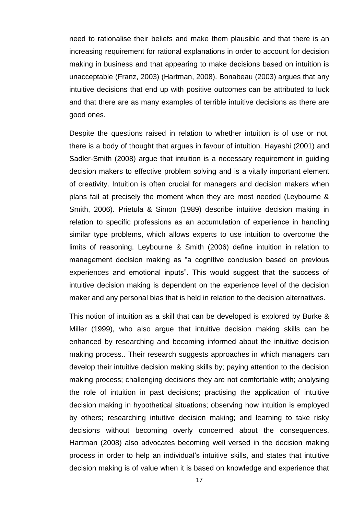need to rationalise their beliefs and make them plausible and that there is an increasing requirement for rational explanations in order to account for decision making in business and that appearing to make decisions based on intuition is unacceptable (Franz, 2003) (Hartman, 2008). Bonabeau (2003) argues that any intuitive decisions that end up with positive outcomes can be attributed to luck and that there are as many examples of terrible intuitive decisions as there are good ones.

Despite the questions raised in relation to whether intuition is of use or not, there is a body of thought that argues in favour of intuition. Hayashi (2001) and Sadler-Smith (2008) argue that intuition is a necessary requirement in guiding decision makers to effective problem solving and is a vitally important element of creativity. Intuition is often crucial for managers and decision makers when plans fail at precisely the moment when they are most needed (Leybourne & Smith, 2006). Prietula & Simon (1989) describe intuitive decision making in relation to specific professions as an accumulation of experience in handling similar type problems, which allows experts to use intuition to overcome the limits of reasoning. Leybourne & Smith (2006) define intuition in relation to management decision making as "a cognitive conclusion based on previous experiences and emotional inputs". This would suggest that the success of intuitive decision making is dependent on the experience level of the decision maker and any personal bias that is held in relation to the decision alternatives.

This notion of intuition as a skill that can be developed is explored by Burke & Miller (1999), who also argue that intuitive decision making skills can be enhanced by researching and becoming informed about the intuitive decision making process.. Their research suggests approaches in which managers can develop their intuitive decision making skills by; paying attention to the decision making process; challenging decisions they are not comfortable with; analysing the role of intuition in past decisions; practising the application of intuitive decision making in hypothetical situations; observing how intuition is employed by others; researching intuitive decision making; and learning to take risky decisions without becoming overly concerned about the consequences. Hartman (2008) also advocates becoming well versed in the decision making process in order to help an individual's intuitive skills, and states that intuitive decision making is of value when it is based on knowledge and experience that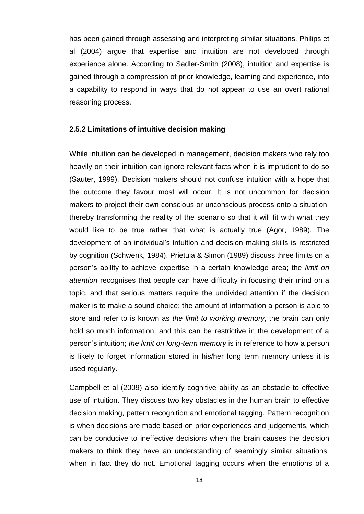has been gained through assessing and interpreting similar situations. Philips et al (2004) argue that expertise and intuition are not developed through experience alone. According to Sadler-Smith (2008), intuition and expertise is gained through a compression of prior knowledge, learning and experience, into a capability to respond in ways that do not appear to use an overt rational reasoning process.

# <span id="page-22-0"></span>**2.5.2 Limitations of intuitive decision making**

While intuition can be developed in management, decision makers who rely too heavily on their intuition can ignore relevant facts when it is imprudent to do so (Sauter, 1999). Decision makers should not confuse intuition with a hope that the outcome they favour most will occur. It is not uncommon for decision makers to project their own conscious or unconscious process onto a situation, thereby transforming the reality of the scenario so that it will fit with what they would like to be true rather that what is actually true (Agor, 1989). The development of an individual's intuition and decision making skills is restricted by cognition (Schwenk, 1984). Prietula & Simon (1989) discuss three limits on a person's ability to achieve expertise in a certain knowledge area; the *limit on attention* recognises that people can have difficulty in focusing their mind on a topic, and that serious matters require the undivided attention if the decision maker is to make a sound choice; the amount of information a person is able to store and refer to is known as *the limit to working memory*, the brain can only hold so much information, and this can be restrictive in the development of a person's intuition; *the limit on long-term memory* is in reference to how a person is likely to forget information stored in his/her long term memory unless it is used regularly.

Campbell et al (2009) also identify cognitive ability as an obstacle to effective use of intuition. They discuss two key obstacles in the human brain to effective decision making, pattern recognition and emotional tagging. Pattern recognition is when decisions are made based on prior experiences and judgements, which can be conducive to ineffective decisions when the brain causes the decision makers to think they have an understanding of seemingly similar situations, when in fact they do not. Emotional tagging occurs when the emotions of a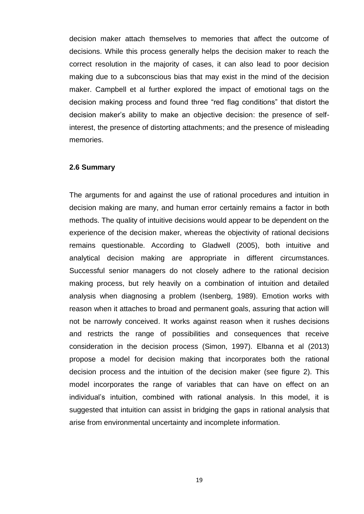decision maker attach themselves to memories that affect the outcome of decisions. While this process generally helps the decision maker to reach the correct resolution in the majority of cases, it can also lead to poor decision making due to a subconscious bias that may exist in the mind of the decision maker. Campbell et al further explored the impact of emotional tags on the decision making process and found three "red flag conditions" that distort the decision maker's ability to make an objective decision: the presence of selfinterest, the presence of distorting attachments; and the presence of misleading memories.

#### <span id="page-23-0"></span>**2.6 Summary**

The arguments for and against the use of rational procedures and intuition in decision making are many, and human error certainly remains a factor in both methods. The quality of intuitive decisions would appear to be dependent on the experience of the decision maker, whereas the objectivity of rational decisions remains questionable. According to Gladwell (2005), both intuitive and analytical decision making are appropriate in different circumstances. Successful senior managers do not closely adhere to the rational decision making process, but rely heavily on a combination of intuition and detailed analysis when diagnosing a problem (Isenberg, 1989). Emotion works with reason when it attaches to broad and permanent goals, assuring that action will not be narrowly conceived. It works against reason when it rushes decisions and restricts the range of possibilities and consequences that receive consideration in the decision process (Simon, 1997). Elbanna et al (2013) propose a model for decision making that incorporates both the rational decision process and the intuition of the decision maker (see figure 2). This model incorporates the range of variables that can have on effect on an individual's intuition, combined with rational analysis. In this model, it is suggested that intuition can assist in bridging the gaps in rational analysis that arise from environmental uncertainty and incomplete information.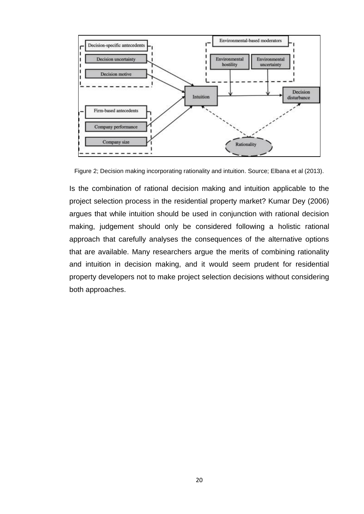

Figure 2; Decision making incorporating rationality and intuition. Source; Elbana et al (2013).

Is the combination of rational decision making and intuition applicable to the project selection process in the residential property market? Kumar Dey (2006) argues that while intuition should be used in conjunction with rational decision making, judgement should only be considered following a holistic rational approach that carefully analyses the consequences of the alternative options that are available. Many researchers argue the merits of combining rationality and intuition in decision making, and it would seem prudent for residential property developers not to make project selection decisions without considering both approaches.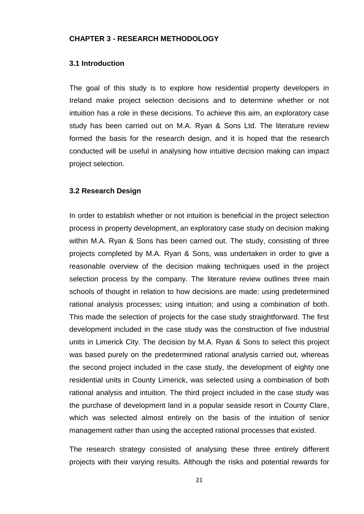### <span id="page-25-1"></span><span id="page-25-0"></span>**CHAPTER 3 - RESEARCH METHODOLOGY**

#### **3.1 Introduction**

The goal of this study is to explore how residential property developers in Ireland make project selection decisions and to determine whether or not intuition has a role in these decisions. To achieve this aim, an exploratory case study has been carried out on M.A. Ryan & Sons Ltd. The literature review formed the basis for the research design, and it is hoped that the research conducted will be useful in analysing how intuitive decision making can impact project selection.

#### <span id="page-25-2"></span>**3.2 Research Design**

In order to establish whether or not intuition is beneficial in the project selection process in property development, an exploratory case study on decision making within M.A. Ryan & Sons has been carried out. The study, consisting of three projects completed by M.A. Ryan & Sons, was undertaken in order to give a reasonable overview of the decision making techniques used in the project selection process by the company. The literature review outlines three main schools of thought in relation to how decisions are made: using predetermined rational analysis processes; using intuition; and using a combination of both. This made the selection of projects for the case study straightforward. The first development included in the case study was the construction of five industrial units in Limerick City. The decision by M.A. Ryan & Sons to select this project was based purely on the predetermined rational analysis carried out, whereas the second project included in the case study, the development of eighty one residential units in County Limerick, was selected using a combination of both rational analysis and intuition. The third project included in the case study was the purchase of development land in a popular seaside resort in County Clare, which was selected almost entirely on the basis of the intuition of senior management rather than using the accepted rational processes that existed.

The research strategy consisted of analysing these three entirely different projects with their varying results. Although the risks and potential rewards for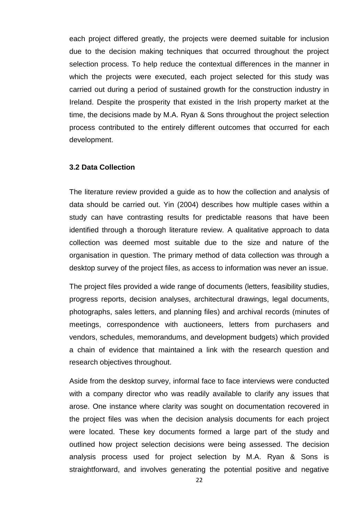each project differed greatly, the projects were deemed suitable for inclusion due to the decision making techniques that occurred throughout the project selection process. To help reduce the contextual differences in the manner in which the projects were executed, each project selected for this study was carried out during a period of sustained growth for the construction industry in Ireland. Despite the prosperity that existed in the Irish property market at the time, the decisions made by M.A. Ryan & Sons throughout the project selection process contributed to the entirely different outcomes that occurred for each development.

# <span id="page-26-0"></span>**3.2 Data Collection**

The literature review provided a guide as to how the collection and analysis of data should be carried out. Yin (2004) describes how multiple cases within a study can have contrasting results for predictable reasons that have been identified through a thorough literature review. A qualitative approach to data collection was deemed most suitable due to the size and nature of the organisation in question. The primary method of data collection was through a desktop survey of the project files, as access to information was never an issue.

The project files provided a wide range of documents (letters, feasibility studies, progress reports, decision analyses, architectural drawings, legal documents, photographs, sales letters, and planning files) and archival records (minutes of meetings, correspondence with auctioneers, letters from purchasers and vendors, schedules, memorandums, and development budgets) which provided a chain of evidence that maintained a link with the research question and research objectives throughout.

Aside from the desktop survey, informal face to face interviews were conducted with a company director who was readily available to clarify any issues that arose. One instance where clarity was sought on documentation recovered in the project files was when the decision analysis documents for each project were located. These key documents formed a large part of the study and outlined how project selection decisions were being assessed. The decision analysis process used for project selection by M.A. Ryan & Sons is straightforward, and involves generating the potential positive and negative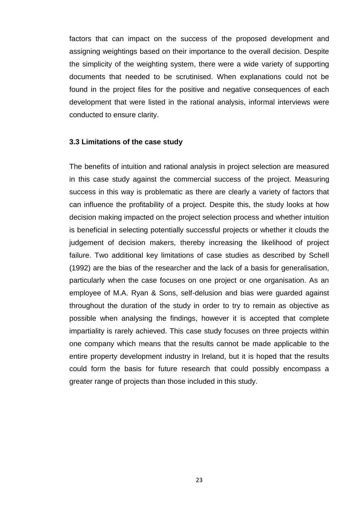factors that can impact on the success of the proposed development and assigning weightings based on their importance to the overall decision. Despite the simplicity of the weighting system, there were a wide variety of supporting documents that needed to be scrutinised. When explanations could not be found in the project files for the positive and negative consequences of each development that were listed in the rational analysis, informal interviews were conducted to ensure clarity.

#### <span id="page-27-0"></span>**3.3 Limitations of the case study**

The benefits of intuition and rational analysis in project selection are measured in this case study against the commercial success of the project. Measuring success in this way is problematic as there are clearly a variety of factors that can influence the profitability of a project. Despite this, the study looks at how decision making impacted on the project selection process and whether intuition is beneficial in selecting potentially successful projects or whether it clouds the judgement of decision makers, thereby increasing the likelihood of project failure. Two additional key limitations of case studies as described by Schell (1992) are the bias of the researcher and the lack of a basis for generalisation, particularly when the case focuses on one project or one organisation. As an employee of M.A. Ryan & Sons, self-delusion and bias were guarded against throughout the duration of the study in order to try to remain as objective as possible when analysing the findings, however it is accepted that complete impartiality is rarely achieved. This case study focuses on three projects within one company which means that the results cannot be made applicable to the entire property development industry in Ireland, but it is hoped that the results could form the basis for future research that could possibly encompass a greater range of projects than those included in this study.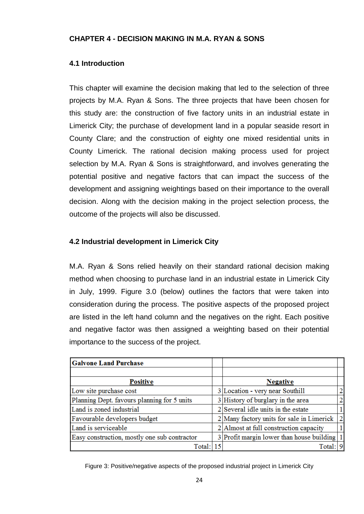# <span id="page-28-1"></span><span id="page-28-0"></span>**CHAPTER 4 - DECISION MAKING IN M.A. RYAN & SONS**

# **4.1 Introduction**

This chapter will examine the decision making that led to the selection of three projects by M.A. Ryan & Sons. The three projects that have been chosen for this study are: the construction of five factory units in an industrial estate in Limerick City; the purchase of development land in a popular seaside resort in County Clare; and the construction of eighty one mixed residential units in County Limerick. The rational decision making process used for project selection by M.A. Ryan & Sons is straightforward, and involves generating the potential positive and negative factors that can impact the success of the development and assigning weightings based on their importance to the overall decision. Along with the decision making in the project selection process, the outcome of the projects will also be discussed.

# <span id="page-28-2"></span>**4.2 Industrial development in Limerick City**

M.A. Ryan & Sons relied heavily on their standard rational decision making method when choosing to purchase land in an industrial estate in Limerick City in July, 1999. Figure 3.0 (below) outlines the factors that were taken into consideration during the process. The positive aspects of the proposed project are listed in the left hand column and the negatives on the right. Each positive and negative factor was then assigned a weighting based on their potential importance to the success of the project.

| <b>Galvone Land Purchase</b>                 |    |                                           |                |
|----------------------------------------------|----|-------------------------------------------|----------------|
|                                              |    |                                           |                |
| <b>Positive</b>                              |    | <b>Negative</b>                           |                |
| Low site purchase cost                       |    | 3 Location - very near Southill           | 2              |
| Planning Dept. favours planning for 5 units  |    | $3$ History of burglary in the area       | $\overline{2}$ |
| Land is zoned industrial                     |    | $2$ Several idle units in the estate      |                |
| Favourable developers budget                 |    | 2 Many factory units for sale in Limerick | $\overline{2}$ |
| Land is serviceable                          |    | 2 Almost at full construction capacity    |                |
| Easy construction, mostly one sub contractor |    | 3 Profit margin lower than house building |                |
| Total:                                       | 15 | Total                                     | 9              |

Figure 3: Positive/negative aspects of the proposed industrial project in Limerick City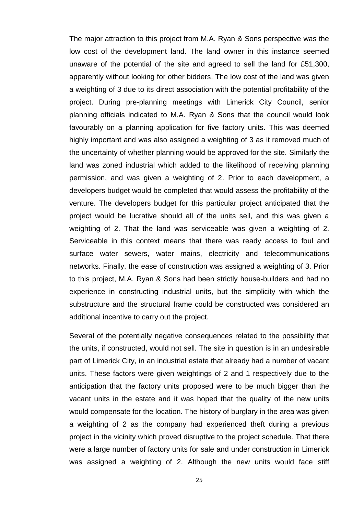The major attraction to this project from M.A. Ryan & Sons perspective was the low cost of the development land. The land owner in this instance seemed unaware of the potential of the site and agreed to sell the land for £51,300, apparently without looking for other bidders. The low cost of the land was given a weighting of 3 due to its direct association with the potential profitability of the project. During pre-planning meetings with Limerick City Council, senior planning officials indicated to M.A. Ryan & Sons that the council would look favourably on a planning application for five factory units. This was deemed highly important and was also assigned a weighting of 3 as it removed much of the uncertainty of whether planning would be approved for the site. Similarly the land was zoned industrial which added to the likelihood of receiving planning permission, and was given a weighting of 2. Prior to each development, a developers budget would be completed that would assess the profitability of the venture. The developers budget for this particular project anticipated that the project would be lucrative should all of the units sell, and this was given a weighting of 2. That the land was serviceable was given a weighting of 2. Serviceable in this context means that there was ready access to foul and surface water sewers, water mains, electricity and telecommunications networks. Finally, the ease of construction was assigned a weighting of 3. Prior to this project, M.A. Ryan & Sons had been strictly house-builders and had no experience in constructing industrial units, but the simplicity with which the substructure and the structural frame could be constructed was considered an additional incentive to carry out the project.

Several of the potentially negative consequences related to the possibility that the units, if constructed, would not sell. The site in question is in an undesirable part of Limerick City, in an industrial estate that already had a number of vacant units. These factors were given weightings of 2 and 1 respectively due to the anticipation that the factory units proposed were to be much bigger than the vacant units in the estate and it was hoped that the quality of the new units would compensate for the location. The history of burglary in the area was given a weighting of 2 as the company had experienced theft during a previous project in the vicinity which proved disruptive to the project schedule. That there were a large number of factory units for sale and under construction in Limerick was assigned a weighting of 2. Although the new units would face stiff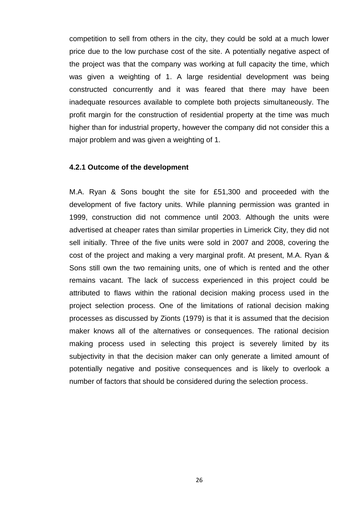competition to sell from others in the city, they could be sold at a much lower price due to the low purchase cost of the site. A potentially negative aspect of the project was that the company was working at full capacity the time, which was given a weighting of 1. A large residential development was being constructed concurrently and it was feared that there may have been inadequate resources available to complete both projects simultaneously. The profit margin for the construction of residential property at the time was much higher than for industrial property, however the company did not consider this a major problem and was given a weighting of 1.

#### <span id="page-30-0"></span>**4.2.1 Outcome of the development**

M.A. Ryan & Sons bought the site for £51,300 and proceeded with the development of five factory units. While planning permission was granted in 1999, construction did not commence until 2003. Although the units were advertised at cheaper rates than similar properties in Limerick City, they did not sell initially. Three of the five units were sold in 2007 and 2008, covering the cost of the project and making a very marginal profit. At present, M.A. Ryan & Sons still own the two remaining units, one of which is rented and the other remains vacant. The lack of success experienced in this project could be attributed to flaws within the rational decision making process used in the project selection process. One of the limitations of rational decision making processes as discussed by Zionts (1979) is that it is assumed that the decision maker knows all of the alternatives or consequences. The rational decision making process used in selecting this project is severely limited by its subjectivity in that the decision maker can only generate a limited amount of potentially negative and positive consequences and is likely to overlook a number of factors that should be considered during the selection process.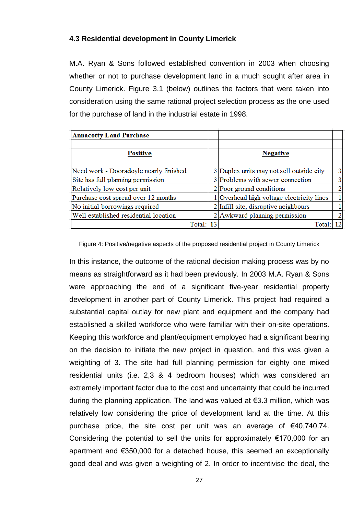# <span id="page-31-0"></span>**4.3 Residential development in County Limerick**

M.A. Ryan & Sons followed established convention in 2003 when choosing whether or not to purchase development land in a much sought after area in County Limerick. Figure 3.1 (below) outlines the factors that were taken into consideration using the same rational project selection process as the one used for the purchase of land in the industrial estate in 1998.

| <b>Annacotty Land Purchase</b>         |                                           |                |
|----------------------------------------|-------------------------------------------|----------------|
|                                        |                                           |                |
| <b>Positive</b>                        | <b>Negative</b>                           |                |
|                                        |                                           |                |
| Need work - Dooradoyle nearly finished | 3 Duplex units may not sell outside city  | 3              |
| Site has full planning permission      | 3 Problems with sewer connection          | $\mathbf{3}$   |
| Relatively low cost per unit           | $2$  Poor ground conditions               | $\overline{2}$ |
| Purchase cost spread over 12 months    | 1 Overhead high voltage electricity lines |                |
| No initial borrowings required         | $2$ Infill site, disruptive neighbours    |                |
| Well established residential location  | $2$ Awkward planning permission           | $\overline{2}$ |
| Total:                                 | Total:                                    | 12.            |

Figure 4: Positive/negative aspects of the proposed residential project in County Limerick

In this instance, the outcome of the rational decision making process was by no means as straightforward as it had been previously. In 2003 M.A. Ryan & Sons were approaching the end of a significant five-year residential property development in another part of County Limerick. This project had required a substantial capital outlay for new plant and equipment and the company had established a skilled workforce who were familiar with their on-site operations. Keeping this workforce and plant/equipment employed had a significant bearing on the decision to initiate the new project in question, and this was given a weighting of 3. The site had full planning permission for eighty one mixed residential units (i.e. 2,3 & 4 bedroom houses) which was considered an extremely important factor due to the cost and uncertainty that could be incurred during the planning application. The land was valued at €3.3 million, which was relatively low considering the price of development land at the time. At this purchase price, the site cost per unit was an average of €40,740.74. Considering the potential to sell the units for approximately  $€170,000$  for an apartment and €350,000 for a detached house, this seemed an exceptionally good deal and was given a weighting of 2. In order to incentivise the deal, the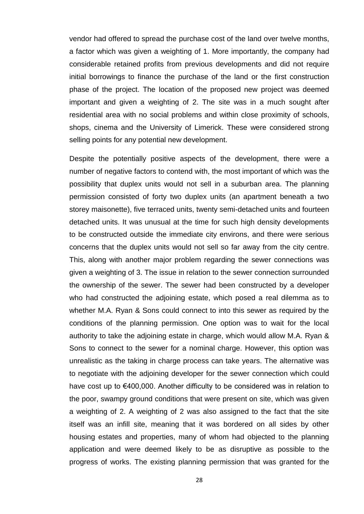vendor had offered to spread the purchase cost of the land over twelve months, a factor which was given a weighting of 1. More importantly, the company had considerable retained profits from previous developments and did not require initial borrowings to finance the purchase of the land or the first construction phase of the project. The location of the proposed new project was deemed important and given a weighting of 2. The site was in a much sought after residential area with no social problems and within close proximity of schools, shops, cinema and the University of Limerick. These were considered strong selling points for any potential new development.

Despite the potentially positive aspects of the development, there were a number of negative factors to contend with, the most important of which was the possibility that duplex units would not sell in a suburban area. The planning permission consisted of forty two duplex units (an apartment beneath a two storey maisonette), five terraced units, twenty semi-detached units and fourteen detached units. It was unusual at the time for such high density developments to be constructed outside the immediate city environs, and there were serious concerns that the duplex units would not sell so far away from the city centre. This, along with another major problem regarding the sewer connections was given a weighting of 3. The issue in relation to the sewer connection surrounded the ownership of the sewer. The sewer had been constructed by a developer who had constructed the adjoining estate, which posed a real dilemma as to whether M.A. Ryan & Sons could connect to into this sewer as required by the conditions of the planning permission. One option was to wait for the local authority to take the adjoining estate in charge, which would allow M.A. Ryan & Sons to connect to the sewer for a nominal charge. However, this option was unrealistic as the taking in charge process can take years. The alternative was to negotiate with the adjoining developer for the sewer connection which could have cost up to €400,000. Another difficulty to be considered was in relation to the poor, swampy ground conditions that were present on site, which was given a weighting of 2. A weighting of 2 was also assigned to the fact that the site itself was an infill site, meaning that it was bordered on all sides by other housing estates and properties, many of whom had objected to the planning application and were deemed likely to be as disruptive as possible to the progress of works. The existing planning permission that was granted for the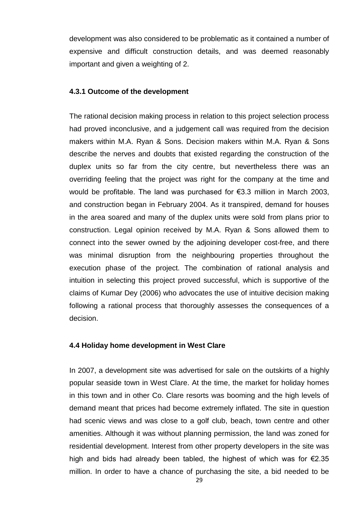development was also considered to be problematic as it contained a number of expensive and difficult construction details, and was deemed reasonably important and given a weighting of 2.

# <span id="page-33-0"></span>**4.3.1 Outcome of the development**

The rational decision making process in relation to this project selection process had proved inconclusive, and a judgement call was required from the decision makers within M.A. Ryan & Sons. Decision makers within M.A. Ryan & Sons describe the nerves and doubts that existed regarding the construction of the duplex units so far from the city centre, but nevertheless there was an overriding feeling that the project was right for the company at the time and would be profitable. The land was purchased for €3.3 million in March 2003, and construction began in February 2004. As it transpired, demand for houses in the area soared and many of the duplex units were sold from plans prior to construction. Legal opinion received by M.A. Ryan & Sons allowed them to connect into the sewer owned by the adjoining developer cost-free, and there was minimal disruption from the neighbouring properties throughout the execution phase of the project. The combination of rational analysis and intuition in selecting this project proved successful, which is supportive of the claims of Kumar Dey (2006) who advocates the use of intuitive decision making following a rational process that thoroughly assesses the consequences of a decision.

# <span id="page-33-1"></span>**4.4 Holiday home development in West Clare**

In 2007, a development site was advertised for sale on the outskirts of a highly popular seaside town in West Clare. At the time, the market for holiday homes in this town and in other Co. Clare resorts was booming and the high levels of demand meant that prices had become extremely inflated. The site in question had scenic views and was close to a golf club, beach, town centre and other amenities. Although it was without planning permission, the land was zoned for residential development. Interest from other property developers in the site was high and bids had already been tabled, the highest of which was for  $\epsilon$ 2.35 million. In order to have a chance of purchasing the site, a bid needed to be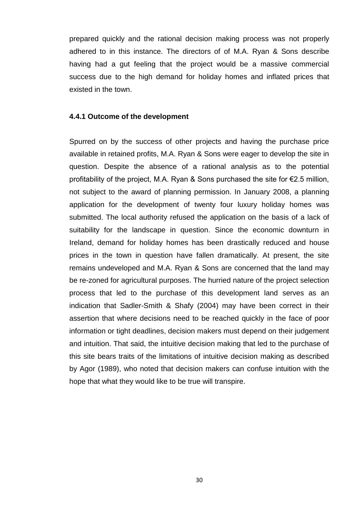prepared quickly and the rational decision making process was not properly adhered to in this instance. The directors of of M.A. Ryan & Sons describe having had a gut feeling that the project would be a massive commercial success due to the high demand for holiday homes and inflated prices that existed in the town.

#### <span id="page-34-0"></span>**4.4.1 Outcome of the development**

Spurred on by the success of other projects and having the purchase price available in retained profits, M.A. Ryan & Sons were eager to develop the site in question. Despite the absence of a rational analysis as to the potential profitability of the project, M.A. Ryan & Sons purchased the site for €2.5 million, not subject to the award of planning permission. In January 2008, a planning application for the development of twenty four luxury holiday homes was submitted. The local authority refused the application on the basis of a lack of suitability for the landscape in question. Since the economic downturn in Ireland, demand for holiday homes has been drastically reduced and house prices in the town in question have fallen dramatically. At present, the site remains undeveloped and M.A. Ryan & Sons are concerned that the land may be re-zoned for agricultural purposes. The hurried nature of the project selection process that led to the purchase of this development land serves as an indication that Sadler-Smith & Shafy (2004) may have been correct in their assertion that where decisions need to be reached quickly in the face of poor information or tight deadlines, decision makers must depend on their judgement and intuition. That said, the intuitive decision making that led to the purchase of this site bears traits of the limitations of intuitive decision making as described by Agor (1989), who noted that decision makers can confuse intuition with the hope that what they would like to be true will transpire.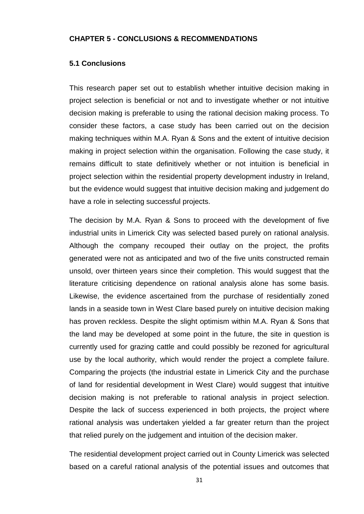### <span id="page-35-1"></span><span id="page-35-0"></span>**CHAPTER 5 - CONCLUSIONS & RECOMMENDATIONS**

### **5.1 Conclusions**

This research paper set out to establish whether intuitive decision making in project selection is beneficial or not and to investigate whether or not intuitive decision making is preferable to using the rational decision making process. To consider these factors, a case study has been carried out on the decision making techniques within M.A. Ryan & Sons and the extent of intuitive decision making in project selection within the organisation. Following the case study, it remains difficult to state definitively whether or not intuition is beneficial in project selection within the residential property development industry in Ireland, but the evidence would suggest that intuitive decision making and judgement do have a role in selecting successful projects.

The decision by M.A. Ryan & Sons to proceed with the development of five industrial units in Limerick City was selected based purely on rational analysis. Although the company recouped their outlay on the project, the profits generated were not as anticipated and two of the five units constructed remain unsold, over thirteen years since their completion. This would suggest that the literature criticising dependence on rational analysis alone has some basis. Likewise, the evidence ascertained from the purchase of residentially zoned lands in a seaside town in West Clare based purely on intuitive decision making has proven reckless. Despite the slight optimism within M.A. Ryan & Sons that the land may be developed at some point in the future, the site in question is currently used for grazing cattle and could possibly be rezoned for agricultural use by the local authority, which would render the project a complete failure. Comparing the projects (the industrial estate in Limerick City and the purchase of land for residential development in West Clare) would suggest that intuitive decision making is not preferable to rational analysis in project selection. Despite the lack of success experienced in both projects, the project where rational analysis was undertaken yielded a far greater return than the project that relied purely on the judgement and intuition of the decision maker.

The residential development project carried out in County Limerick was selected based on a careful rational analysis of the potential issues and outcomes that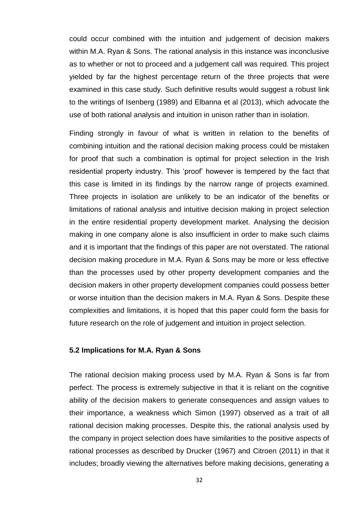could occur combined with the intuition and judgement of decision makers within M.A. Ryan & Sons. The rational analysis in this instance was inconclusive as to whether or not to proceed and a judgement call was required. This project yielded by far the highest percentage return of the three projects that were examined in this case study. Such definitive results would suggest a robust link to the writings of Isenberg (1989) and Elbanna et al (2013), which advocate the use of both rational analysis and intuition in unison rather than in isolation.

Finding strongly in favour of what is written in relation to the benefits of combining intuition and the rational decision making process could be mistaken for proof that such a combination is optimal for project selection in the Irish residential property industry. This 'proof' however is tempered by the fact that this case is limited in its findings by the narrow range of projects examined. Three projects in isolation are unlikely to be an indicator of the benefits or limitations of rational analysis and intuitive decision making in project selection in the entire residential property development market. Analysing the decision making in one company alone is also insufficient in order to make such claims and it is important that the findings of this paper are not overstated. The rational decision making procedure in M.A. Ryan & Sons may be more or less effective than the processes used by other property development companies and the decision makers in other property development companies could possess better or worse intuition than the decision makers in M.A. Ryan & Sons. Despite these complexities and limitations, it is hoped that this paper could form the basis for future research on the role of judgement and intuition in project selection.

# <span id="page-36-0"></span>**5.2 Implications for M.A. Ryan & Sons**

The rational decision making process used by M.A. Ryan & Sons is far from perfect. The process is extremely subjective in that it is reliant on the cognitive ability of the decision makers to generate consequences and assign values to their importance, a weakness which Simon (1997) observed as a trait of all rational decision making processes. Despite this, the rational analysis used by the company in project selection does have similarities to the positive aspects of rational processes as described by Drucker (1967) and Citroen (2011) in that it includes; broadly viewing the alternatives before making decisions, generating a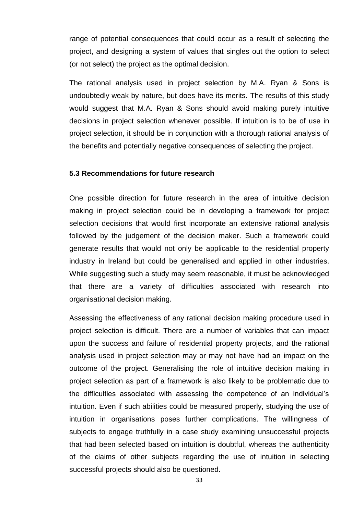range of potential consequences that could occur as a result of selecting the project, and designing a system of values that singles out the option to select (or not select) the project as the optimal decision.

The rational analysis used in project selection by M.A. Ryan & Sons is undoubtedly weak by nature, but does have its merits. The results of this study would suggest that M.A. Ryan & Sons should avoid making purely intuitive decisions in project selection whenever possible. If intuition is to be of use in project selection, it should be in conjunction with a thorough rational analysis of the benefits and potentially negative consequences of selecting the project.

# <span id="page-37-0"></span>**5.3 Recommendations for future research**

One possible direction for future research in the area of intuitive decision making in project selection could be in developing a framework for project selection decisions that would first incorporate an extensive rational analysis followed by the judgement of the decision maker. Such a framework could generate results that would not only be applicable to the residential property industry in Ireland but could be generalised and applied in other industries. While suggesting such a study may seem reasonable, it must be acknowledged that there are a variety of difficulties associated with research into organisational decision making.

Assessing the effectiveness of any rational decision making procedure used in project selection is difficult. There are a number of variables that can impact upon the success and failure of residential property projects, and the rational analysis used in project selection may or may not have had an impact on the outcome of the project. Generalising the role of intuitive decision making in project selection as part of a framework is also likely to be problematic due to the difficulties associated with assessing the competence of an individual's intuition. Even if such abilities could be measured properly, studying the use of intuition in organisations poses further complications. The willingness of subjects to engage truthfully in a case study examining unsuccessful projects that had been selected based on intuition is doubtful, whereas the authenticity of the claims of other subjects regarding the use of intuition in selecting successful projects should also be questioned.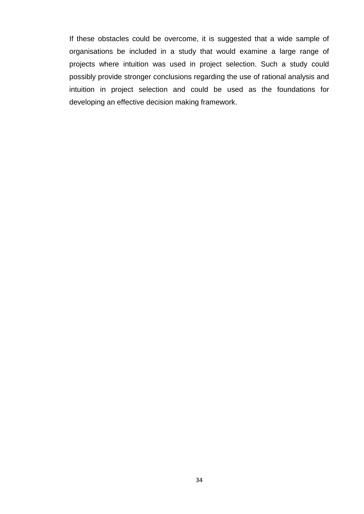If these obstacles could be overcome, it is suggested that a wide sample of organisations be included in a study that would examine a large range of projects where intuition was used in project selection. Such a study could possibly provide stronger conclusions regarding the use of rational analysis and intuition in project selection and could be used as the foundations for developing an effective decision making framework.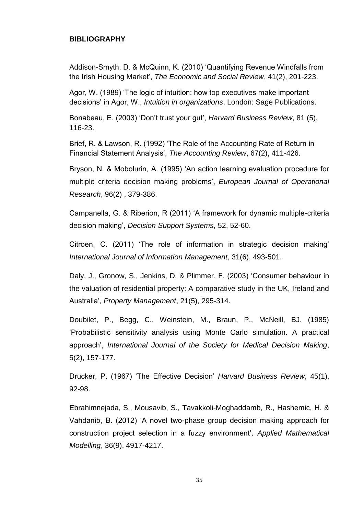# <span id="page-39-0"></span>**BIBLIOGRAPHY**

Addison-Smyth, D. & McQuinn, K. (2010) 'Quantifying Revenue Windfalls from the Irish Housing Market', *The Economic and Social Review*, 41(2), 201-223.

Agor, W. (1989) 'The logic of intuition: how top executives make important decisions' in Agor, W., *Intuition in organizations*, London: Sage Publications.

Bonabeau, E. (2003) 'Don't trust your gut', *Harvard Business Review*, 81 (5), 116-23.

Brief, R. & Lawson, R. (1992) 'The Role of the Accounting Rate of Return in Financial Statement Analysis', *The Accounting Review*, 67(2), 411-426.

Bryson, N. & Mobolurin, A. (1995) 'An action learning evaluation procedure for multiple criteria decision making problems', *European Journal of Operational Research*, 96(2) , 379-386.

Campanella, G. & Riberion, R (2011) 'A framework for dynamic multiple-criteria decision making', *Decision Support Systems*, 52, 52-60.

Citroen, C. (2011) 'The role of information in strategic decision making' *International Journal of Information Management*, 31(6), 493-501.

Daly, J., Gronow, S., Jenkins, D. & Plimmer, F. (2003) 'Consumer behaviour in the valuation of residential property: A comparative study in the UK, Ireland and Australia', *Property Management*, 21(5), 295-314.

Doubilet, P., Begg, C., Weinstein, M., Braun, P., McNeill, BJ. (1985) 'Probabilistic sensitivity analysis using Monte Carlo simulation. A practical approach', *International Journal of the Society for Medical Decision Making*, 5(2), 157-177.

Drucker, P. (1967) 'The Effective Decision' *Harvard Business Review*, 45(1), 92-98.

Ebrahimnejada, S., Mousavib, S., Tavakkoli-Moghaddamb, R., Hashemic, H. & Vahdanib, B. (2012) 'A novel two-phase group decision making approach for construction project selection in a fuzzy environment'*, Applied Mathematical Modelling*, 36(9), 4917-4217.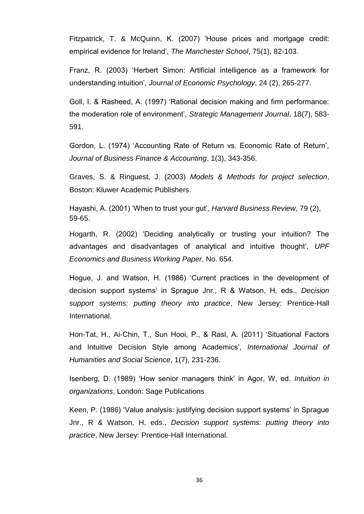Fitzpatrick, T. & McQuinn, K. (2007) 'House prices and mortgage credit: empirical evidence for Ireland', *The Manchester School*, 75(1), 82-103.

Franz, R. (2003) 'Herbert Simon: Artificial intelligence as a framework for understanding intuition', *Journal of Economic Psychology*, 24 (2), 265-277.

Goll, I. & Rasheed, A. (1997) 'Rational decision making and firm performance: the moderation role of environment', *Strategic Management Journal*, 18(7), 583- 591.

Gordon, L. (1974) 'Accounting Rate of Return vs. Economic Rate of Return', *Journal of Business Finance & Accounting*, 1(3), 343-356.

Graves, S. & Ringuest, J. (2003) *Models & Methods for project selection*, Boston: Kluwer Academic Publishers.

Hayashi, A. (2001) 'When to trust your gut', *Harvard Business Review*, 79 (2), 59-65.

Hogarth, R. (2002) 'Deciding analytically or trusting your intuition? The advantages and disadvantages of analytical and intuitive thought', *UPF Economics and Business Working Paper*, No. 654.

Hogue, J. and Watson, H. (1986) 'Current practices in the development of decision support systems' in Sprague Jnr., R & Watson, H, eds., *Decision support systems: putting theory into practice*, New Jersey: Prentice-Hall International.

Hon-Tat, H., Ai-Chin, T., Sun Hooi, P., & Rasl, A. (2011) 'Situational Factors and Intuitive Decision Style among Academics', *International Journal of Humanities and Social Science*, 1(7), 231-236.

Isenberg, D. (1989) 'How senior managers think' in Agor, W, ed. *Intuition in organizations*, London: Sage Publications

Keen, P. (1986) 'Value analysis: justifying decision support systems' in Sprague Jnr., R & Watson, H, eds., *Decision support systems: putting theory into practice*, New Jersey: Prentice-Hall International.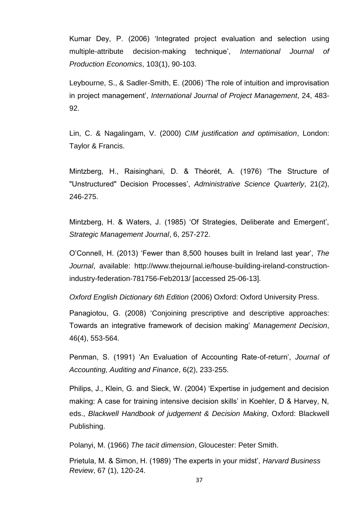Kumar Dey, P. (2006) 'Integrated project evaluation and selection using multiple-attribute decision-making technique', *International Journal of Production Economics*, 103(1), 90-103.

Leybourne, S., & Sadler-Smith, E. (2006) 'The role of intuition and improvisation in project management', *International Journal of Project Management*, 24, 483- 92.

Lin, C. & Nagalingam, V. (2000) *CIM justification and optimisation*, London: Taylor & Francis.

Mintzberg, H., Raisinghani, D. & Théorét, A. (1976) 'The Structure of "Unstructured" Decision Processes', *Administrative Science Quarterly*, 21(2), 246-275.

Mintzberg, H. & Waters, J. (1985) 'Of Strategies, Deliberate and Emergent', *Strategic Management Journal*, 6, 257-272.

O'Connell, H. (2013) 'Fewer than 8,500 houses built in Ireland last year', *The Journal*, available: http://www.thejournal.ie/house-building-ireland-constructionindustry-federation-781756-Feb2013/ [accessed 25-06-13].

*Oxford English Dictionary 6th Edition* (2006) Oxford: Oxford University Press.

Panagiotou, G. (2008) 'Conjoining prescriptive and descriptive approaches: Towards an integrative framework of decision making' *Management Decision*, 46(4), 553-564.

Penman, S. (1991) 'An Evaluation of Accounting Rate-of-return', *Journal of Accounting, Auditing and Finance*, 6(2), 233-255.

Philips, J., Klein, G. and Sieck, W. (2004) 'Expertise in judgement and decision making: A case for training intensive decision skills' in Koehler, D & Harvey, N, eds., *Blackwell Handbook of judgement & Decision Making*, Oxford: Blackwell Publishing.

Polanyi, M. (1966) *The tacit dimension*, Gloucester: Peter Smith.

Prietula, M. & Simon, H. (1989) 'The experts in your midst', *Harvard Business Review*, 67 (1), 120-24.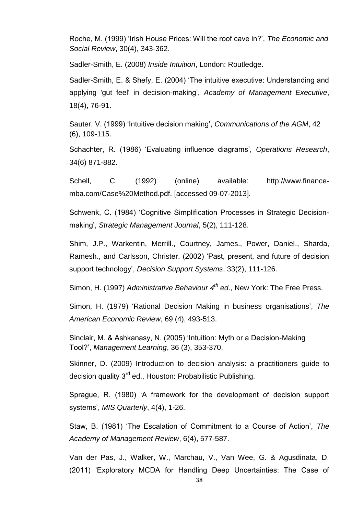Roche, M. (1999) 'Irish House Prices: Will the roof cave in?', *The Economic and Social Review*, 30(4), 343-362.

Sadler-Smith, E. (2008) *Inside Intuition*, London: Routledge.

Sadler-Smith, E. & Shefy, E. (2004) 'The intuitive executive: Understanding and applying 'gut feel' in decision-making', *Academy of Management Executive*, 18(4), 76-91.

Sauter, V. (1999) 'Intuitive decision making', *Communications of the AGM*, 42 (6), 109-115.

Schachter, R. (1986) 'Evaluating influence diagrams', *Operations Research*, 34(6) 871-882.

Schell, C. (1992) (online) available: http://www.financemba.com/Case%20Method.pdf. [accessed 09-07-2013].

Schwenk, C. (1984) 'Cognitive Simplification Processes in Strategic Decisionmaking', *Strategic Management Journal*, 5(2), 111-128.

Shim, J.P., Warkentin, Merrill., Courtney, James., Power, Daniel., Sharda, Ramesh., and Carlsson, Christer. (2002) 'Past, present, and future of decision support technology', *Decision Support Systems*, 33(2), 111-126.

Simon, H. (1997) *Administrative Behaviour 4th ed*., New York: The Free Press.

Simon, H. (1979) 'Rational Decision Making in business organisations', *The American Economic Review*, 69 (4), 493-513.

Sinclair, M. & Ashkanasy, N. (2005) 'Intuition: Myth or a Decision-Making Tool?', *Management Learning*, 36 (3), 353-370.

Skinner, D. (2009) Introduction to decision analysis: a practitioners guide to decision quality 3<sup>rd</sup> ed., Houston: Probabilistic Publishing.

Sprague, R. (1980) 'A framework for the development of decision support systems', *MIS Quarterly*, 4(4), 1-26.

Staw, B. (1981) 'The Escalation of Commitment to a Course of Action', *The Academy of Management Review*, 6(4), 577-587.

Van der Pas, J., Walker, W., Marchau, V., Van Wee, G. & Agusdinata, D. (2011) 'Exploratory MCDA for Handling Deep Uncertainties: The Case of